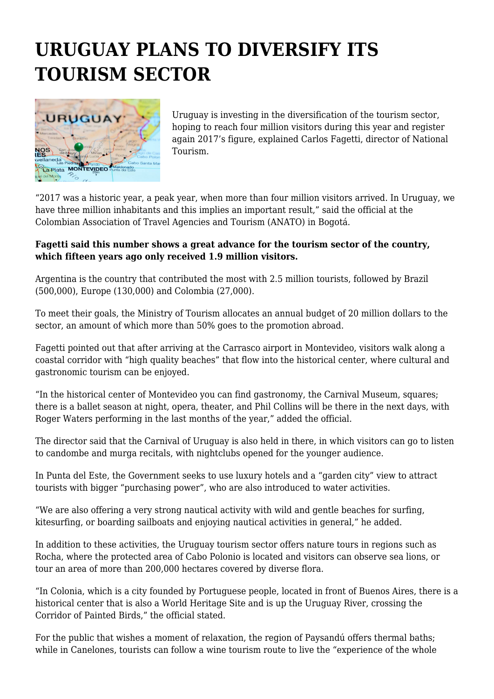## **URUGUAY PLANS TO DIVERSIFY ITS TOURISM SECTOR**



Uruguay is investing in the diversification of the tourism sector, hoping to reach four million visitors during this year and register again 2017's figure, explained Carlos Fagetti, director of National Tourism.

"2017 was a historic year, a peak year, when more than four million visitors arrived. In Uruguay, we have three million inhabitants and this implies an important result," said the official at the Colombian Association of Travel Agencies and Tourism (ANATO) in Bogotá.

## **Fagetti said this number shows a great advance for the tourism sector of the country, which fifteen years ago only received 1.9 million visitors.**

Argentina is the country that contributed the most with 2.5 million tourists, followed by Brazil (500,000), Europe (130,000) and Colombia (27,000).

To meet their goals, the Ministry of Tourism allocates an annual budget of 20 million dollars to the sector, an amount of which more than 50% goes to the promotion abroad.

Fagetti pointed out that after arriving at the Carrasco airport in Montevideo, visitors walk along a coastal corridor with "high quality beaches" that flow into the historical center, where cultural and gastronomic tourism can be enjoyed.

"In the historical center of Montevideo you can find gastronomy, the Carnival Museum, squares; there is a ballet season at night, opera, theater, and Phil Collins will be there in the next days, with Roger Waters performing in the last months of the year," added the official.

The director said that the Carnival of Uruguay is also held in there, in which visitors can go to listen to candombe and murga recitals, with nightclubs opened for the younger audience.

In Punta del Este, the Government seeks to use luxury hotels and a "garden city" view to attract tourists with bigger "purchasing power", who are also introduced to water activities.

"We are also offering a very strong nautical activity with wild and gentle beaches for surfing, kitesurfing, or boarding sailboats and enjoying nautical activities in general," he added.

In addition to these activities, the Uruguay tourism sector offers nature tours in regions such as Rocha, where the protected area of Cabo Polonio is located and visitors can observe sea lions, or tour an area of more than 200,000 hectares covered by diverse flora.

"In Colonia, which is a city founded by Portuguese people, located in front of Buenos Aires, there is a historical center that is also a World Heritage Site and is up the Uruguay River, crossing the Corridor of Painted Birds," the official stated.

For the public that wishes a moment of relaxation, the region of Paysandú offers thermal baths; while in Canelones, tourists can follow a wine tourism route to live the "experience of the whole